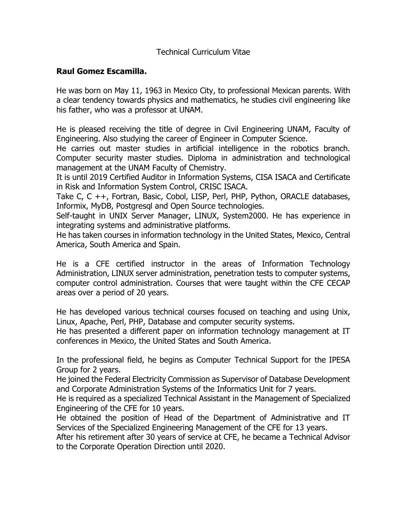## Technical Curriculum Vitae

## **Raul Gomez Escamilla.**

He was born on May 11, 1963 in Mexico City, to professional Mexican parents. With a clear tendency towards physics and mathematics, he studies civil engineering like his father, who was a professor at UNAM.

He is pleased receiving the title of degree in Civil Engineering UNAM, Faculty of Engineering. Also studying the career of Engineer in Computer Science.

He carries out master studies in artificial intelligence in the robotics branch. Computer security master studies. Diploma in administration and technological management at the UNAM Faculty of Chemistry.

It is until 2019 Certified Auditor in Information Systems, CISA ISACA and Certificate in Risk and Information System Control, CRISC ISACA.

Take C, C ++, Fortran, Basic, Cobol, LISP, Perl, PHP, Python, ORACLE databases, Informix, MyDB, Postgresql and Open Source technologies.

Self-taught in UNIX Server Manager, LINUX, System2000. He has experience in integrating systems and administrative platforms.

He has taken courses in information technology in the United States, Mexico, Central America, South America and Spain.

He is a CFE certified instructor in the areas of Information Technology Administration, LINUX server administration, penetration tests to computer systems, computer control administration. Courses that were taught within the CFE CECAP areas over a period of 20 years.

He has developed various technical courses focused on teaching and using Unix, Linux, Apache, Perl, PHP, Database and computer security systems.

He has presented a different paper on information technology management at IT conferences in Mexico, the United States and South America.

In the professional field, he begins as Computer Technical Support for the IPESA Group for 2 years.

He joined the Federal Electricity Commission as Supervisor of Database Development and Corporate Administration Systems of the Informatics Unit for 7 years.

He is required as a specialized Technical Assistant in the Management of Specialized Engineering of the CFE for 10 years.

He obtained the position of Head of the Department of Administrative and IT Services of the Specialized Engineering Management of the CFE for 13 years.

After his retirement after 30 years of service at CFE, he became a Technical Advisor to the Corporate Operation Direction until 2020.